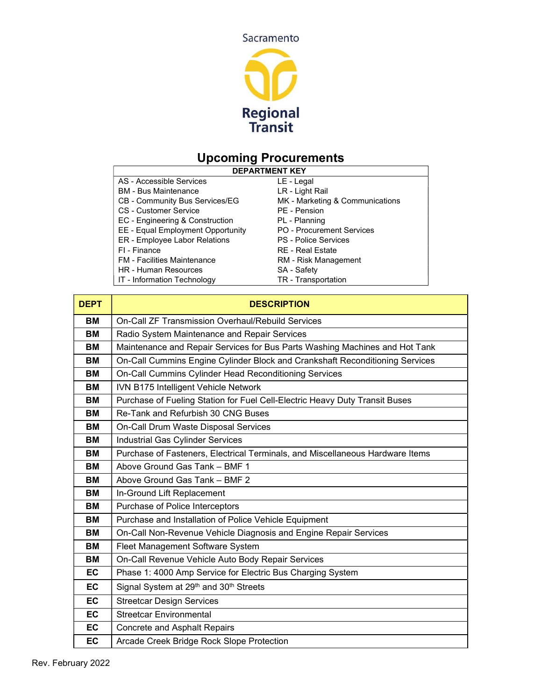

# Upcoming Procurements

| <b>DEPARTMENT KEY</b>              |                                 |  |
|------------------------------------|---------------------------------|--|
| AS - Accessible Services           | LE - Legal                      |  |
| <b>BM</b> - Bus Maintenance        | LR - Light Rail                 |  |
| CB - Community Bus Services/EG     | MK - Marketing & Communications |  |
| <b>CS</b> - Customer Service       | PE - Pension                    |  |
| EC - Engineering & Construction    | PL - Planning                   |  |
| EE - Equal Employment Opportunity  | PO - Procurement Services       |  |
| ER - Employee Labor Relations      | <b>PS</b> - Police Services     |  |
| FI - Finance                       | <b>RE</b> - Real Estate         |  |
| <b>FM</b> - Facilities Maintenance | RM - Risk Management            |  |
| <b>HR</b> - Human Resources        | SA - Safety                     |  |

| IT - Information Technology | TR - Transportation |
|-----------------------------|---------------------|
|                             |                     |

| <b>DEPT</b> | <b>DESCRIPTION</b>                                                            |
|-------------|-------------------------------------------------------------------------------|
| ВM          | <b>On-Call ZF Transmission Overhaul/Rebuild Services</b>                      |
| ВM          | Radio System Maintenance and Repair Services                                  |
| <b>BM</b>   | Maintenance and Repair Services for Bus Parts Washing Machines and Hot Tank   |
| ВM          | On-Call Cummins Engine Cylinder Block and Crankshaft Reconditioning Services  |
| ВM          | On-Call Cummins Cylinder Head Reconditioning Services                         |
| ВM          | IVN B175 Intelligent Vehicle Network                                          |
| ВM          | Purchase of Fueling Station for Fuel Cell-Electric Heavy Duty Transit Buses   |
| ВM          | Re-Tank and Refurbish 30 CNG Buses                                            |
| ВM          | On-Call Drum Waste Disposal Services                                          |
| ВM          | Industrial Gas Cylinder Services                                              |
| ВM          | Purchase of Fasteners, Electrical Terminals, and Miscellaneous Hardware Items |
| ВM          | Above Ground Gas Tank - BMF 1                                                 |
| ВM          | Above Ground Gas Tank - BMF 2                                                 |
| ВM          | In-Ground Lift Replacement                                                    |
| ВM          | Purchase of Police Interceptors                                               |
| ВM          | Purchase and Installation of Police Vehicle Equipment                         |
| ВM          | On-Call Non-Revenue Vehicle Diagnosis and Engine Repair Services              |
| ВM          | Fleet Management Software System                                              |
| ВM          | On-Call Revenue Vehicle Auto Body Repair Services                             |
| EC          | Phase 1: 4000 Amp Service for Electric Bus Charging System                    |
| EC          | Signal System at 29 <sup>th</sup> and 30 <sup>th</sup> Streets                |
| EC          | <b>Streetcar Design Services</b>                                              |
| <b>EC</b>   | <b>Streetcar Environmental</b>                                                |
| <b>EC</b>   | <b>Concrete and Asphalt Repairs</b>                                           |
| EC          | Arcade Creek Bridge Rock Slope Protection                                     |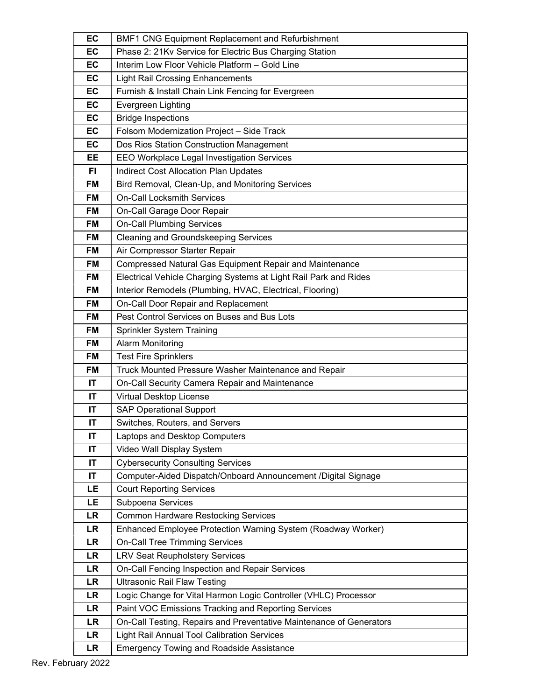| EC        | BMF1 CNG Equipment Replacement and Refurbishment                    |
|-----------|---------------------------------------------------------------------|
| EC        | Phase 2: 21Kv Service for Electric Bus Charging Station             |
| EC        | Interim Low Floor Vehicle Platform - Gold Line                      |
| EC        | <b>Light Rail Crossing Enhancements</b>                             |
| EC        | Furnish & Install Chain Link Fencing for Evergreen                  |
| EC        | Evergreen Lighting                                                  |
| EC        | <b>Bridge Inspections</b>                                           |
| EC        | Folsom Modernization Project - Side Track                           |
| <b>EC</b> | Dos Rios Station Construction Management                            |
| EE        | EEO Workplace Legal Investigation Services                          |
| <b>FI</b> | <b>Indirect Cost Allocation Plan Updates</b>                        |
| <b>FM</b> | Bird Removal, Clean-Up, and Monitoring Services                     |
| <b>FM</b> | <b>On-Call Locksmith Services</b>                                   |
| <b>FM</b> | On-Call Garage Door Repair                                          |
| <b>FM</b> | <b>On-Call Plumbing Services</b>                                    |
| <b>FM</b> | <b>Cleaning and Groundskeeping Services</b>                         |
| <b>FM</b> | Air Compressor Starter Repair                                       |
| FM        | Compressed Natural Gas Equipment Repair and Maintenance             |
| <b>FM</b> | Electrical Vehicle Charging Systems at Light Rail Park and Rides    |
| <b>FM</b> | Interior Remodels (Plumbing, HVAC, Electrical, Flooring)            |
| <b>FM</b> | On-Call Door Repair and Replacement                                 |
| <b>FM</b> | Pest Control Services on Buses and Bus Lots                         |
| <b>FM</b> | Sprinkler System Training                                           |
| FM        | <b>Alarm Monitoring</b>                                             |
| <b>FM</b> | <b>Test Fire Sprinklers</b>                                         |
| <b>FM</b> | Truck Mounted Pressure Washer Maintenance and Repair                |
| IT        | On-Call Security Camera Repair and Maintenance                      |
| IT        | Virtual Desktop License                                             |
| IT        | <b>SAP Operational Support</b>                                      |
| IT        | Switches, Routers, and Servers                                      |
| IT        | Laptops and Desktop Computers                                       |
| IT        | Video Wall Display System                                           |
| IT        | <b>Cybersecurity Consulting Services</b>                            |
| IT        | Computer-Aided Dispatch/Onboard Announcement /Digital Signage       |
| LE        | <b>Court Reporting Services</b>                                     |
| LE        | Subpoena Services                                                   |
| <b>LR</b> | <b>Common Hardware Restocking Services</b>                          |
| <b>LR</b> | Enhanced Employee Protection Warning System (Roadway Worker)        |
| <b>LR</b> | <b>On-Call Tree Trimming Services</b>                               |
| <b>LR</b> | <b>LRV Seat Reupholstery Services</b>                               |
| <b>LR</b> | On-Call Fencing Inspection and Repair Services                      |
| LR        | <b>Ultrasonic Rail Flaw Testing</b>                                 |
| <b>LR</b> | Logic Change for Vital Harmon Logic Controller (VHLC) Processor     |
| <b>LR</b> | Paint VOC Emissions Tracking and Reporting Services                 |
| <b>LR</b> | On-Call Testing, Repairs and Preventative Maintenance of Generators |
| LR        | <b>Light Rail Annual Tool Calibration Services</b>                  |
| <b>LR</b> | <b>Emergency Towing and Roadside Assistance</b>                     |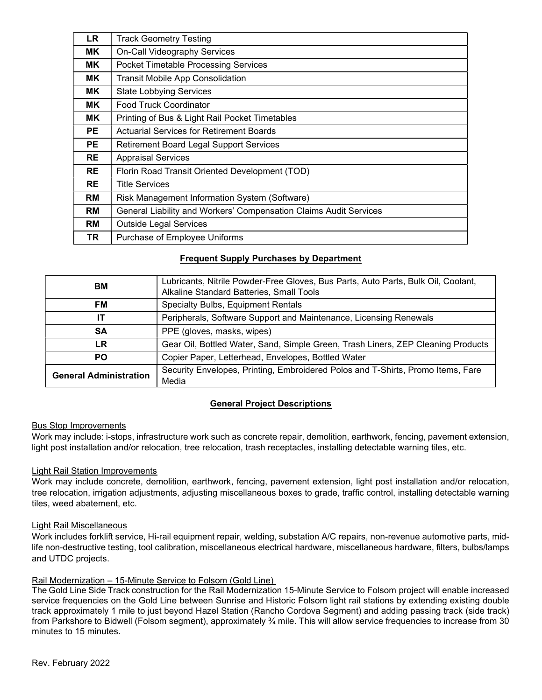| <b>LR</b> | <b>Track Geometry Testing</b>                                     |
|-----------|-------------------------------------------------------------------|
| MK.       | On-Call Videography Services                                      |
| MK.       | <b>Pocket Timetable Processing Services</b>                       |
| MK.       | <b>Transit Mobile App Consolidation</b>                           |
| MK.       | <b>State Lobbying Services</b>                                    |
| MK.       | <b>Food Truck Coordinator</b>                                     |
| MK.       | Printing of Bus & Light Rail Pocket Timetables                    |
| PE.       | <b>Actuarial Services for Retirement Boards</b>                   |
| PE.       | <b>Retirement Board Legal Support Services</b>                    |
| <b>RE</b> | <b>Appraisal Services</b>                                         |
| <b>RE</b> | Florin Road Transit Oriented Development (TOD)                    |
| <b>RE</b> | <b>Title Services</b>                                             |
| <b>RM</b> | Risk Management Information System (Software)                     |
| RM        | General Liability and Workers' Compensation Claims Audit Services |
| RM        | <b>Outside Legal Services</b>                                     |
| TR.       | Purchase of Employee Uniforms                                     |

# Frequent Supply Purchases by Department

| BM                            | Lubricants, Nitrile Powder-Free Gloves, Bus Parts, Auto Parts, Bulk Oil, Coolant,<br>Alkaline Standard Batteries, Small Tools |
|-------------------------------|-------------------------------------------------------------------------------------------------------------------------------|
| FM                            | Specialty Bulbs, Equipment Rentals                                                                                            |
| IT                            | Peripherals, Software Support and Maintenance, Licensing Renewals                                                             |
| <b>SA</b>                     | PPE (gloves, masks, wipes)                                                                                                    |
| LR                            | Gear Oil, Bottled Water, Sand, Simple Green, Trash Liners, ZEP Cleaning Products                                              |
| <b>PO</b>                     | Copier Paper, Letterhead, Envelopes, Bottled Water                                                                            |
| <b>General Administration</b> | Security Envelopes, Printing, Embroidered Polos and T-Shirts, Promo Items, Fare<br>Media                                      |

# General Project Descriptions

# Bus Stop Improvements

Work may include: i-stops, infrastructure work such as concrete repair, demolition, earthwork, fencing, pavement extension, light post installation and/or relocation, tree relocation, trash receptacles, installing detectable warning tiles, etc.

#### Light Rail Station Improvements

Work may include concrete, demolition, earthwork, fencing, pavement extension, light post installation and/or relocation, tree relocation, irrigation adjustments, adjusting miscellaneous boxes to grade, traffic control, installing detectable warning tiles, weed abatement, etc.

#### Light Rail Miscellaneous

Work includes forklift service, Hi-rail equipment repair, welding, substation A/C repairs, non-revenue automotive parts, midlife non-destructive testing, tool calibration, miscellaneous electrical hardware, miscellaneous hardware, filters, bulbs/lamps and UTDC projects.

#### Rail Modernization – 15-Minute Service to Folsom (Gold Line)

The Gold Line Side Track construction for the Rail Modernization 15-Minute Service to Folsom project will enable increased service frequencies on the Gold Line between Sunrise and Historic Folsom light rail stations by extending existing double track approximately 1 mile to just beyond Hazel Station (Rancho Cordova Segment) and adding passing track (side track) from Parkshore to Bidwell (Folsom segment), approximately  $\frac{3}{4}$  mile. This will allow service frequencies to increase from 30 minutes to 15 minutes.